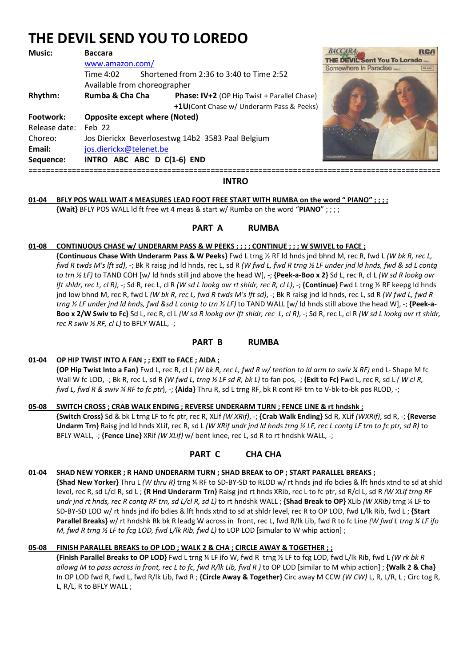# **THE DEVIL SEND YOU TO LOREDO**

| Music:        | <b>Baccara</b>                                               |                                                                                         | <b>THE DEVIL Sent You To Lorado</b> |         |
|---------------|--------------------------------------------------------------|-----------------------------------------------------------------------------------------|-------------------------------------|---------|
|               | www.amazon.com/<br>Time 4:02<br>Available from choreographer | Shortened from 2:36 to 3:40 to Time 2:52                                                | Somewhere In Paradise               | PB SETT |
| Rhythm:       | Rumba & Cha Cha                                              | Phase: IV+2 (OP Hip Twist + Parallel Chase)<br>+1U(Cont Chase w/ Underarm Pass & Peeks) |                                     |         |
| Footwork:     | <b>Opposite except where (Noted)</b>                         |                                                                                         |                                     |         |
| Release date: | Feb 22                                                       |                                                                                         |                                     |         |
| Choreo:       | Jos Dierickx Beverlosestwg 14b2 3583 Paal Belgium            |                                                                                         |                                     |         |
| Email:        | jos.dierickx@telenet.be                                      |                                                                                         |                                     |         |
| Sequence:     | INTRO ABC ABC D C(1-6) END                                   |                                                                                         |                                     |         |
|               |                                                              |                                                                                         |                                     |         |



## **INTRO**

## **01-04 BFLY POS WALL WAIT 4 MEASURES LEAD FOOT FREE START WITH RUMBA on the word " PIANO" ; ; ; ;**

 **{Wait}** BFLY POS WALL ld ft free wt 4 meas & start w/ Rumba on the word "**PIANO**" ; ; ; ;

## **PART A RUMBA**

## **01-08 CONTINUOUS CHASE w/ UNDERARM PASS & W PEEKS ; ; ; ; CONTINUE ; ; ; W SWIVEL to FACE ;**

 **{Continuous Chase With Underarm Pass & W Peeks}** Fwd L trng ½ RF ld hnds jnd bhnd M, rec R, fwd L *(W bk R, rec L, fwd R twds M's lft sd)*, -; Bk R raisg jnd ld hnds, rec L, sd R *(W fwd L, fwd R trng ½ LF under jnd ld hnds, fwd & sd L contg to trn ½ LF)* to TAND COH [w/ ld hnds still jnd above the head W], -; **{Peek-a-Boo x 2}** Sd L, rec R, cl L *(W sd R lookg ovr lft shldr, rec L, cl R)*, -; Sd R, rec L, cl R *(W sd L lookg ovr rt shldr, rec R, cl L)*, -; **{Continue}** Fwd L trng ½ RF keepg ld hnds jnd low bhnd M, rec R, fwd L *(W bk R, rec L, fwd R twds M's lft sd)*, -; Bk R raisg jnd ld hnds, rec L, sd R *(W fwd L, fwd R trng ½ LF under jnd ld hnds, fwd &sd L contg to trn ½ LF)* to TAND WALL [w/ ld hnds still above the head W], -; **{Peek-a- Boo x 2/W Swiv to Fc}** Sd L, rec R, cl L *(W sd R lookg ovr lft shldr, rec L, cl R)*, -; Sd R, rec L, cl R *(W sd L lookg ovr rt shldr, rec R swiv ½ RF, cl L)* to BFLY WALL, -;

## **PART B RUMBA**

## **01-04 OP HIP TWIST INTO A FAN ; ; EXIT to FACE ; AIDA ;**

 **{OP Hip Twist Into a Fan}** Fwd L, rec R, cl L *(W bk R, rec L, fwd R w/ tention to ld arm to swiv ¼ RF)* end L- Shape M fc Wall W fc LOD, -; Bk R, rec L, sd R *(W fwd L, trng ½ LF sd R, bk L)* to fan pos, -; **(Exit to Fc)** Fwd L, rec R, sd L *( W cl R, fwd L, fwd R & swiv ¼ RF to fc ptr*), -; **{Aida}** Thru R, sd L trng RF, bk R cont RF trn to V-bk-to-bk pos RLOD, -;

## **05-08 SWITCH CROSS ; CRAB WALK ENDING ; REVERSE UNDERARM TURN ; FENCE LINE & rt hndshk ;**

 **{Switch Cross}** Sd & bk L trng LF to fc ptr, rec R, XLif *(W XRif)*, -; **{Crab Walk Ending}** Sd R, XLif *(WXRif)*, sd R, -; **{Reverse Undarm Trn}** Raisg jnd ld hnds XLif, rec R, sd L *(W XRif undr jnd ld hnds trng ½ LF, rec L contg LF trn to fc ptr, sd R)* to BFLY WALL, -; **{Fence Line}** XRif *(W XLif)* w/ bent knee, rec L, sd R to rt hndshk WALL, -;

## **PART C CHA CHA**

## **01-04 SHAD NEW YORKER ; R HAND UNDERARM TURN ; SHAD BREAK to OP ; START PARALLEL BREAKS ;**

 **{Shad New Yorker}** Thru L *(W thru R)* trng ¼ RF to SD-BY-SD to RLOD w/ rt hnds jnd ifo bdies & lft hnds xtnd to sd at shld level, rec R, sd L/cl R, sd L ; **{R Hnd Underarm Trn}** Raisg jnd rt hnds XRib, rec L to fc ptr, sd R/cl L, sd R *(W XLif trng RF undr jnd rt hnds, rec R contg RF trn, sd L/cl R, sd L)* to rt hndshk WALL ; **{Shad Break to OP}** XLib *(W XRib)* trng ¼ LF to SD-BY-SD LOD w/ rt hnds jnd ifo bdies & lft hnds xtnd to sd at shldr level, rec R to OP LOD, fwd L/lk Rib, fwd L ; **{Start Parallel Breaks}** w/ rt hndshk Rk bk R leadg W across in front, rec L, fwd R/lk Lib, fwd R to fc Line *(W fwd L trng ¼ LF ifo M, fwd R trng ½ LF to fcg LOD, fwd L/lk Rib, fwd L)* to LOP LOD [simular to W whip action] ;

## **05-08 FINISH PARALLEL BREAKS to OP LOD ; WALK 2 & CHA ; CIRCLE AWAY & TOGETHER ; ;**

 **{Finish Parallel Breaks to OP LOD}** Fwd L trng ¼ LF ifo W, fwd R trng ½ LF to fcg LOD, fwd L/lk Rib, fwd L *(W rk bk R allowg M to pass across in front, rec L to fc, fwd R/lk Lib, fwd R )* to OP LOD [similar to M whip action] ; **{Walk 2 & Cha}** In OP LOD fwd R, fwd L, fwd R/lk Lib, fwd R ; **{Circle Away & Together}** Circ away M CCW *(W CW)* L, R, L/R, L ; Circ tog R, L, R/L, R to BFLY WALL ;